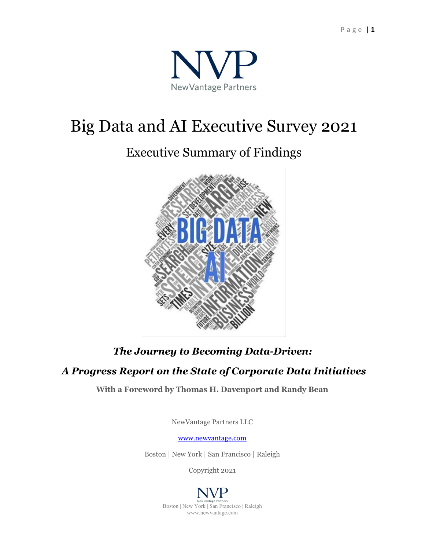

# Big Data and AI Executive Survey 2021

# Executive Summary of Findings



# *The Journey to Becoming Data-Driven:*

# *A Progress Report on the State of Corporate Data Initiatives*

**With a Foreword by Thomas H. Davenport and Randy Bean**

NewVantage Partners LLC

[www.newvantage.com](http://www.newvantage.com/)

Boston | New York | San Francisco | Raleigh

Copyright 2021

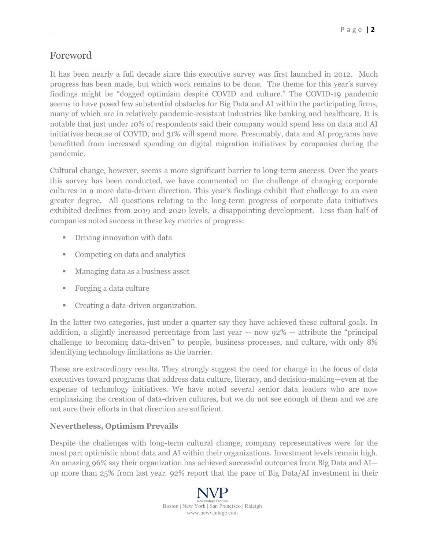# Foreword

It has been nearly a full decade since this executive survey was first launched in 2012. Much progress has been made, but which work remains to be done. The theme for this year's survey findings might be "dogged optimism despite COVID and culture." The COVID-19 pandemic seems to have posed few substantial obstacles for Big Data and AI within the participating firms, many of which are in relatively pandemic-resistant industries like banking and healthcare. It is notable that just under 10% of respondents said their company would spend less on data and AI initiatives because of COVID, and 31% will spend more. Presumably, data and AI programs have benefitted from increased spending on digital migration initiatives by companies during the pandemic.

Cultural change, however, seems a more significant barrier to long-term success. Over the years this survey has been conducted, we have commented on the challenge of changing corporate cultures in a more data-driven direction. This year's findings exhibit that challenge to an even greater degree. All questions relating to the long-term progress of corporate data initiatives exhibited declines from 2019 and 2020 levels, a disappointing development. Less than half of companies noted success in these key metrics of progress:

- **•** Driving innovation with data
- Competing on data and analytics
- Managing data as a business asset
- Forging a data culture
- Creating a data-driven organization.

In the latter two categories, just under a quarter say they have achieved these cultural goals. In addition, a slightly increased percentage from last year -- now 92% -- attribute the "principal challenge to becoming data-driven" to people, business processes, and culture, with only 8% identifying technology limitations as the barrier.

These are extraordinary results. They strongly suggest the need for change in the focus of data executives toward programs that address data culture, literacy, and decision-making—even at the expense of technology initiatives. We have noted several senior data leaders who are now emphasizing the creation of data-driven cultures, but we do not see enough of them and we are not sure their efforts in that direction are sufficient.

#### **Nevertheless, Optimism Prevails**

Despite the challenges with long-term cultural change, company representatives were for the most part optimistic about data and AI within their organizations. Investment levels remain high. An amazing 96% say their organization has achieved successful outcomes from Big Data and AI up more than 25% from last year. 92% report that the pace of Big Data/AI investment in their

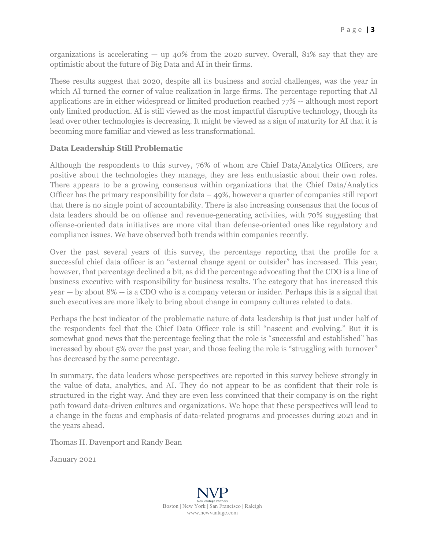organizations is accelerating  $-$  up 40% from the 2020 survey. Overall, 81% say that they are optimistic about the future of Big Data and AI in their firms.

These results suggest that 2020, despite all its business and social challenges, was the year in which AI turned the corner of value realization in large firms. The percentage reporting that AI applications are in either widespread or limited production reached 77% -- although most report only limited production. AI is still viewed as the most impactful disruptive technology, though its lead over other technologies is decreasing. It might be viewed as a sign of maturity for AI that it is becoming more familiar and viewed as less transformational.

#### **Data Leadership Still Problematic**

Although the respondents to this survey, 76% of whom are Chief Data/Analytics Officers, are positive about the technologies they manage, they are less enthusiastic about their own roles. There appears to be a growing consensus within organizations that the Chief Data/Analytics Officer has the primary responsibility for data – 49%, however a quarter of companies still report that there is no single point of accountability. There is also increasing consensus that the focus of data leaders should be on offense and revenue-generating activities, with 70% suggesting that offense-oriented data initiatives are more vital than defense-oriented ones like regulatory and compliance issues. We have observed both trends within companies recently.

Over the past several years of this survey, the percentage reporting that the profile for a successful chief data officer is an "external change agent or outsider" has increased. This year, however, that percentage declined a bit, as did the percentage advocating that the CDO is a line of business executive with responsibility for business results. The category that has increased this year — by about 8% -- is a CDO who is a company veteran or insider. Perhaps this is a signal that such executives are more likely to bring about change in company cultures related to data.

Perhaps the best indicator of the problematic nature of data leadership is that just under half of the respondents feel that the Chief Data Officer role is still "nascent and evolving." But it is somewhat good news that the percentage feeling that the role is "successful and established" has increased by about 5% over the past year, and those feeling the role is "struggling with turnover" has decreased by the same percentage.

In summary, the data leaders whose perspectives are reported in this survey believe strongly in the value of data, analytics, and AI. They do not appear to be as confident that their role is structured in the right way. And they are even less convinced that their company is on the right path toward data-driven cultures and organizations. We hope that these perspectives will lead to a change in the focus and emphasis of data-related programs and processes during 2021 and in the years ahead.

Thomas H. Davenport and Randy Bean

January 2021

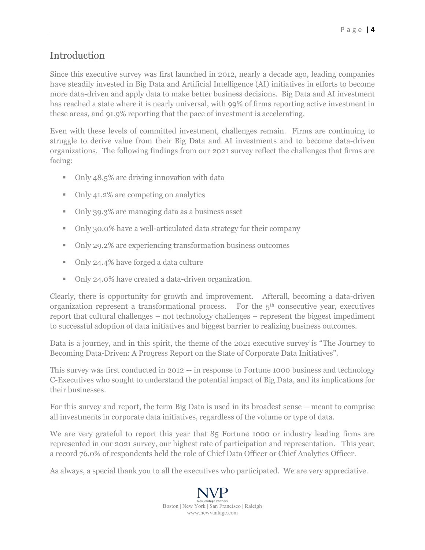# Introduction

Since this executive survey was first launched in 2012, nearly a decade ago, leading companies have steadily invested in Big Data and Artificial Intelligence (AI) initiatives in efforts to become more data-driven and apply data to make better business decisions. Big Data and AI investment has reached a state where it is nearly universal, with 99% of firms reporting active investment in these areas, and 91.9% reporting that the pace of investment is accelerating.

Even with these levels of committed investment, challenges remain. Firms are continuing to struggle to derive value from their Big Data and AI investments and to become data-driven organizations. The following findings from our 2021 survey reflect the challenges that firms are facing:

- Only 48.5% are driving innovation with data
- Only 41.2% are competing on analytics
- Only 39.3% are managing data as a business asset
- Only 30.0% have a well-articulated data strategy for their company
- Only 29.2% are experiencing transformation business outcomes
- Only 24.4% have forged a data culture
- Only 24.0% have created a data-driven organization.

Clearly, there is opportunity for growth and improvement. Afterall, becoming a data-driven organization represent a transformational process. For the  $5<sup>th</sup>$  consecutive year, executives report that cultural challenges – not technology challenges – represent the biggest impediment to successful adoption of data initiatives and biggest barrier to realizing business outcomes.

Data is a journey, and in this spirit, the theme of the 2021 executive survey is "The Journey to Becoming Data-Driven: A Progress Report on the State of Corporate Data Initiatives".

This survey was first conducted in 2012 -- in response to Fortune 1000 business and technology C-Executives who sought to understand the potential impact of Big Data, and its implications for their businesses.

For this survey and report, the term Big Data is used in its broadest sense – meant to comprise all investments in corporate data initiatives, regardless of the volume or type of data.

We are very grateful to report this year that 85 Fortune 1000 or industry leading firms are represented in our 2021 survey, our highest rate of participation and representation. This year, a record 76.0% of respondents held the role of Chief Data Officer or Chief Analytics Officer.

As always, a special thank you to all the executives who participated. We are very appreciative.

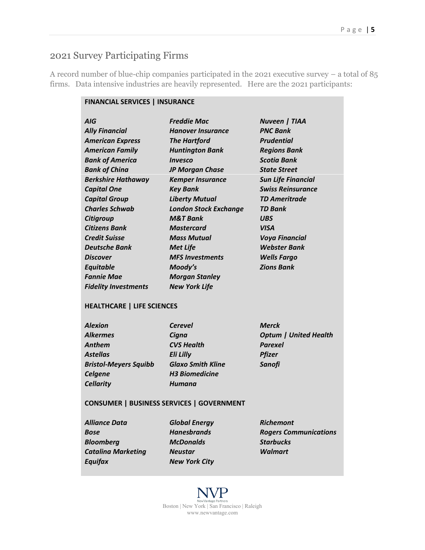# 2021 Survey Participating Firms

A record number of blue-chip companies participated in the 2021 executive survey – a total of 85 firms. Data intensive industries are heavily represented. Here are the 2021 participants:

| <b>FINANCIAL SERVICES   INSURANCE</b> |                                                  |                              |
|---------------------------------------|--------------------------------------------------|------------------------------|
| AIG                                   | <b>Freddie Mac</b>                               | <b>Nuveen   TIAA</b>         |
| <b>Ally Financial</b>                 | <b>Hanover Insurance</b>                         | <b>PNC Bank</b>              |
| <b>American Express</b>               | <b>The Hartford</b>                              | <b>Prudential</b>            |
| <b>American Family</b>                | <b>Huntington Bank</b>                           | <b>Regions Bank</b>          |
| <b>Bank of America</b>                | <i><b>Invesco</b></i>                            | <b>Scotia Bank</b>           |
| <b>Bank of China</b>                  | <b>JP Morgan Chase</b>                           | <b>State Street</b>          |
| <b>Berkshire Hathaway</b>             | <b>Kemper Insurance</b>                          | <b>Sun Life Financial</b>    |
| <b>Capital One</b>                    | <b>Key Bank</b>                                  | <b>Swiss Reinsurance</b>     |
| <b>Capital Group</b>                  | <b>Liberty Mutual</b>                            | <b>TD Ameritrade</b>         |
| <b>Charles Schwab</b>                 | <b>London Stock Exchange</b>                     | <b>TD Bank</b>               |
| Citigroup                             | <b>M&amp;T Bank</b>                              | UBS                          |
| <b>Citizens Bank</b>                  | <b>Mastercard</b>                                | <b>VISA</b>                  |
| <b>Credit Suisse</b>                  | <b>Mass Mutual</b>                               | <b>Voya Financial</b>        |
| <b>Deutsche Bank</b>                  | <b>Met Life</b>                                  | <b>Webster Bank</b>          |
| <b>Discover</b>                       | <b>MFS Investments</b>                           | <b>Wells Fargo</b>           |
| <b>Equitable</b>                      | Moody's                                          | <b>Zions Bank</b>            |
| <b>Fannie Mae</b>                     | <b>Morgan Stanley</b>                            |                              |
| <b>Fidelity Investments</b>           | <b>New York Life</b>                             |                              |
| <b>HEALTHCARE   LIFE SCIENCES</b>     |                                                  |                              |
| <b>Alexion</b>                        | <b>Cerevel</b>                                   | <b>Merck</b>                 |
| <b>Alkermes</b>                       | Cigna                                            | <b>Optum   United Health</b> |
| <b>Anthem</b>                         | <b>CVS Health</b>                                | <b>Parexel</b>               |
| Astellas                              | <b>Eli Lilly</b>                                 | <b>Pfizer</b>                |
| <b>Bristol-Meyers Squibb</b>          | <b>Glaxo Smith Kline</b>                         | <b>Sanofi</b>                |
| <b>Celgene</b>                        | <b>H3 Biomedicine</b>                            |                              |
| <b>Cellarity</b>                      | Humana                                           |                              |
|                                       | <b>CONSUMER   BUSINESS SERVICES   GOVERNMENT</b> |                              |
| <i><b>Alliance Data</b></i>           | <b>Global Energy</b>                             | <b>Richemont</b>             |
| <b>Bose</b>                           | <b>Hanesbrands</b>                               | <b>Rogers Communications</b> |
| <b>Bloomberg</b>                      | <b>McDonalds</b>                                 | <b>Starbucks</b>             |
| <b>Catalina Marketing</b>             | <b>Neustar</b>                                   | <b>Walmart</b>               |
| <b>Equifax</b>                        | <b>New York City</b>                             |                              |
|                                       |                                                  |                              |
|                                       |                                                  |                              |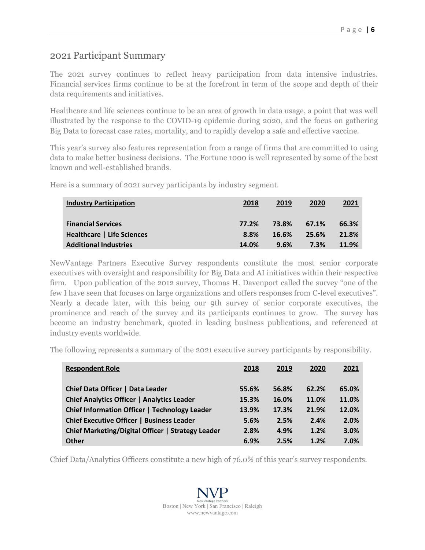### 2021 Participant Summary

The 2021 survey continues to reflect heavy participation from data intensive industries. Financial services firms continue to be at the forefront in term of the scope and depth of their data requirements and initiatives.

Healthcare and life sciences continue to be an area of growth in data usage, a point that was well illustrated by the response to the COVID-19 epidemic during 2020, and the focus on gathering Big Data to forecast case rates, mortality, and to rapidly develop a safe and effective vaccine.

This year's survey also features representation from a range of firms that are committed to using data to make better business decisions. The Fortune 1000 is well represented by some of the best known and well-established brands.

Here is a summary of 2021 survey participants by industry segment.

| <b>Industry Participation</b>     | 2018  | 2019  | 2020  | <u> 2021</u> |
|-----------------------------------|-------|-------|-------|--------------|
| <b>Financial Services</b>         | 77.2% | 73.8% | 67.1% | 66.3%        |
| <b>Healthcare   Life Sciences</b> | 8.8%  | 16.6% | 25.6% | 21.8%        |
| <b>Additional Industries</b>      | 14.0% | 9.6%  | 7.3%  | 11.9%        |

NewVantage Partners Executive Survey respondents constitute the most senior corporate executives with oversight and responsibility for Big Data and AI initiatives within their respective firm. Upon publication of the 2012 survey, Thomas H. Davenport called the survey "one of the few I have seen that focuses on large organizations and offers responses from C-level executives". Nearly a decade later, with this being our 9th survey of senior corporate executives, the prominence and reach of the survey and its participants continues to grow. The survey has become an industry benchmark, quoted in leading business publications, and referenced at industry events worldwide.

The following represents a summary of the 2021 executive survey participants by responsibility.

| <b>Respondent Role</b>                            | 2018  | 2019  | 2020  | 2021  |
|---------------------------------------------------|-------|-------|-------|-------|
| Chief Data Officer   Data Leader                  | 55.6% | 56.8% | 62.2% | 65.0% |
| <b>Chief Analytics Officer   Analytics Leader</b> | 15.3% | 16.0% | 11.0% | 11.0% |
| Chief Information Officer   Technology Leader     | 13.9% | 17.3% | 21.9% | 12.0% |
| <b>Chief Executive Officer   Business Leader</b>  | 5.6%  | 2.5%  | 2.4%  | 2.0%  |
| Chief Marketing/Digital Officer   Strategy Leader | 2.8%  | 4.9%  | 1.2%  | 3.0%  |
| <b>Other</b>                                      | 6.9%  | 2.5%  | 1.2%  | 7.0%  |

Chief Data/Analytics Officers constitute a new high of 76.0% of this year's survey respondents.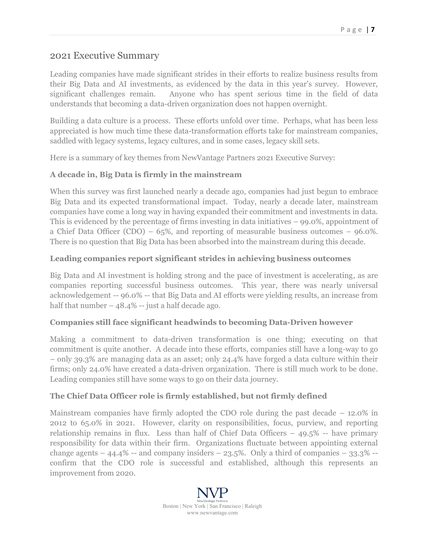#### 2021 Executive Summary

Leading companies have made significant strides in their efforts to realize business results from their Big Data and AI investments, as evidenced by the data in this year's survey. However, significant challenges remain. Anyone who has spent serious time in the field of data understands that becoming a data-driven organization does not happen overnight.

Building a data culture is a process. These efforts unfold over time. Perhaps, what has been less appreciated is how much time these data-transformation efforts take for mainstream companies, saddled with legacy systems, legacy cultures, and in some cases, legacy skill sets.

Here is a summary of key themes from NewVantage Partners 2021 Executive Survey:

#### **A decade in, Big Data is firmly in the mainstream**

When this survey was first launched nearly a decade ago, companies had just begun to embrace Big Data and its expected transformational impact. Today, nearly a decade later, mainstream companies have come a long way in having expanded their commitment and investments in data. This is evidenced by the percentage of firms investing in data initiatives  $-99.0\%$ , appointment of a Chief Data Officer (CDO) – 65%, and reporting of measurable business outcomes – 96.0%. There is no question that Big Data has been absorbed into the mainstream during this decade.

#### **Leading companies report significant strides in achieving business outcomes**

Big Data and AI investment is holding strong and the pace of investment is accelerating, as are companies reporting successful business outcomes. This year, there was nearly universal acknowledgement -- 96.0% -- that Big Data and AI efforts were yielding results, an increase from half that number  $-48.4\%$  -- just a half decade ago.

#### **Companies still face significant headwinds to becoming Data-Driven however**

Making a commitment to data-driven transformation is one thing; executing on that commitment is quite another. A decade into these efforts, companies still have a long-way to go – only 39.3% are managing data as an asset; only 24.4% have forged a data culture within their firms; only 24.0% have created a data-driven organization. There is still much work to be done. Leading companies still have some ways to go on their data journey.

#### **The Chief Data Officer role is firmly established, but not firmly defined**

Mainstream companies have firmly adopted the CDO role during the past decade – 12.0% in 2012 to 65.0% in 2021. However, clarity on responsibilities, focus, purview, and reporting relationship remains in flux. Less than half of Chief Data Officers  $-49.5\%$  -- have primary responsibility for data within their firm. Organizations fluctuate between appointing external change agents  $-44.4\%$  -- and company insiders  $-23.5\%$ . Only a third of companies  $-33.3\%$  -confirm that the CDO role is successful and established, although this represents an improvement from 2020.

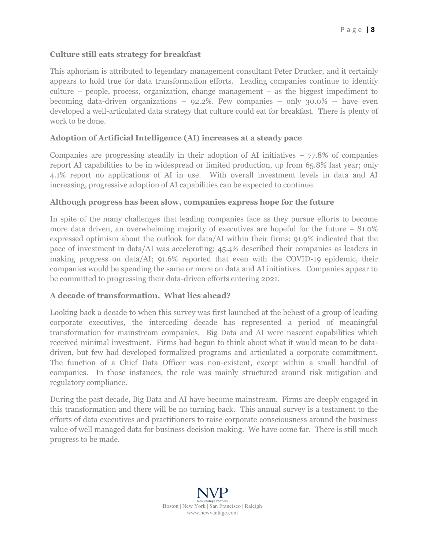#### **Culture still eats strategy for breakfast**

This aphorism is attributed to legendary management consultant Peter Drucker, and it certainly appears to hold true for data transformation efforts. Leading companies continue to identify culture – people, process, organization, change management – as the biggest impediment to becoming data-driven organizations – 92.2%. Few companies – only 30.0% -- have even developed a well-articulated data strategy that culture could eat for breakfast. There is plenty of work to be done.

#### **Adoption of Artificial Intelligence (AI) increases at a steady pace**

Companies are progressing steadily in their adoption of AI initiatives  $-77.8\%$  of companies report AI capabilities to be in widespread or limited production, up from 65.8% last year; only 4.1% report no applications of AI in use. With overall investment levels in data and AI increasing, progressive adoption of AI capabilities can be expected to continue.

#### **Although progress has been slow, companies express hope for the future**

In spite of the many challenges that leading companies face as they pursue efforts to become more data driven, an overwhelming majority of executives are hopeful for the future – 81.0% expressed optimism about the outlook for data/AI within their firms; 91.9% indicated that the pace of investment in data/AI was accelerating; 45.4% described their companies as leaders in making progress on data/AI; 91.6% reported that even with the COVID-19 epidemic, their companies would be spending the same or more on data and AI initiatives. Companies appear to be committed to progressing their data-driven efforts entering 2021.

#### **A decade of transformation. What lies ahead?**

Looking back a decade to when this survey was first launched at the behest of a group of leading corporate executives, the interceding decade has represented a period of meaningful transformation for mainstream companies. Big Data and AI were nascent capabilities which received minimal investment. Firms had begun to think about what it would mean to be datadriven, but few had developed formalized programs and articulated a corporate commitment. The function of a Chief Data Officer was non-existent, except within a small handful of companies. In those instances, the role was mainly structured around risk mitigation and regulatory compliance.

During the past decade, Big Data and AI have become mainstream. Firms are deeply engaged in this transformation and there will be no turning back. This annual survey is a testament to the efforts of data executives and practitioners to raise corporate consciousness around the business value of well managed data for business decision making. We have come far. There is still much progress to be made.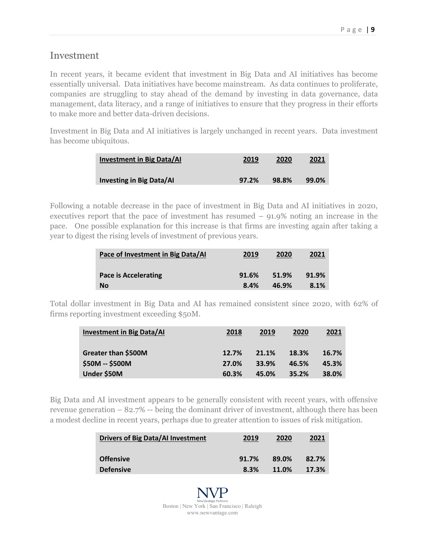#### Investment

In recent years, it became evident that investment in Big Data and AI initiatives has become essentially universal. Data initiatives have become mainstream. As data continues to proliferate, companies are struggling to stay ahead of the demand by investing in data governance, data management, data literacy, and a range of initiatives to ensure that they progress in their efforts to make more and better data-driven decisions.

Investment in Big Data and AI initiatives is largely unchanged in recent years. Data investment has become ubiquitous.

| <b>Investment in Big Data/AI</b> | 2019  | 2020  | <u> 2021</u> |
|----------------------------------|-------|-------|--------------|
| <b>Investing in Big Data/AI</b>  | 97.2% | 98.8% | 99.0%        |

Following a notable decrease in the pace of investment in Big Data and AI initiatives in 2020, executives report that the pace of investment has resumed – 91.9% noting an increase in the pace. One possible explanation for this increase is that firms are investing again after taking a year to digest the rising levels of investment of previous years.

| Pace of Investment in Big Data/AI | 2019  | 2020  | <u>2021</u> |
|-----------------------------------|-------|-------|-------------|
| <b>Pace is Accelerating</b>       | 91.6% | 51.9% | 91.9%       |
| <b>No</b>                         | 8.4%  | 46.9% | 8.1%        |

Total dollar investment in Big Data and AI has remained consistent since 2020, with 62% of firms reporting investment exceeding \$50M.

| <b>Investment in Big Data/AI</b>       | 2018           | 2019           | 2020           | 2021           |
|----------------------------------------|----------------|----------------|----------------|----------------|
| Greater than \$500M<br>\$50M -- \$500M | 12.7%<br>27.0% | 21.1%<br>33.9% | 18.3%<br>46.5% | 16.7%<br>45.3% |
| Under \$50M                            | 60.3%          | 45.0%          | 35.2%          | 38.0%          |

Big Data and AI investment appears to be generally consistent with recent years, with offensive revenue generation – 82.7% -- being the dominant driver of investment, although there has been a modest decline in recent years, perhaps due to greater attention to issues of risk mitigation.

| <b>Drivers of Big Data/AI Investment</b> | 2019  | 2020  | 2021  |
|------------------------------------------|-------|-------|-------|
| <b>Offensive</b>                         | 91.7% | 89.0% | 82.7% |
| <b>Defensive</b>                         | 8.3%  | 11.0% | 17.3% |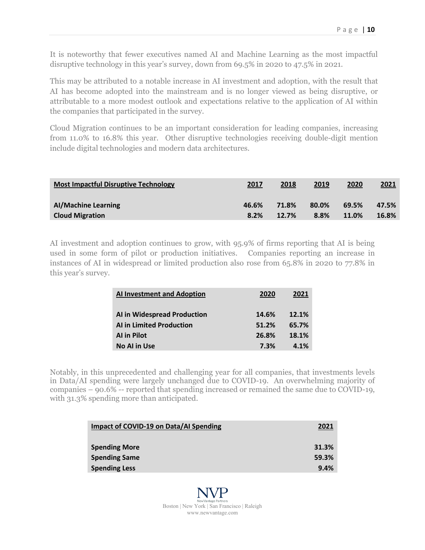It is noteworthy that fewer executives named AI and Machine Learning as the most impactful disruptive technology in this year's survey, down from 69.5% in 2020 to 47.5% in 2021.

This may be attributed to a notable increase in AI investment and adoption, with the result that AI has become adopted into the mainstream and is no longer viewed as being disruptive, or attributable to a more modest outlook and expectations relative to the application of AI within the companies that participated in the survey.

Cloud Migration continues to be an important consideration for leading companies, increasing from 11.0% to 16.8% this year. Other disruptive technologies receiving double-digit mention include digital technologies and modern data architectures.

| <b>Most Impactful Disruptive Technology</b> | 2017  | 2018  | 2019  | 2020  | 2021  |
|---------------------------------------------|-------|-------|-------|-------|-------|
| <b>Al/Machine Learning</b>                  | 46.6% | 71.8% | 80.0% | 69.5% | 47.5% |
| <b>Cloud Migration</b>                      | 8.2%  | 12.7% | 8.8%  | 11.0% | 16.8% |

AI investment and adoption continues to grow, with 95.9% of firms reporting that AI is being used in some form of pilot or production initiatives. Companies reporting an increase in instances of AI in widespread or limited production also rose from 65.8% in 2020 to 77.8% in this year's survey.

| <b>Al Investment and Adoption</b> | 2020  | 2021  |
|-----------------------------------|-------|-------|
| AI in Widespread Production       | 14.6% | 12.1% |
| <b>Al in Limited Production</b>   | 51.2% | 65.7% |
| <b>Al in Pilot</b>                | 26.8% | 18.1% |
| <b>No Al in Use</b>               | 7.3%  | 4.1%  |

Notably, in this unprecedented and challenging year for all companies, that investments levels in Data/AI spending were largely unchanged due to COVID-19. An overwhelming majority of companies – 90.6% -- reported that spending increased or remained the same due to COVID-19, with  $31.3\%$  spending more than anticipated.

| Impact of COVID-19 on Data/AI Spending | 2021  |
|----------------------------------------|-------|
| <b>Spending More</b>                   | 31.3% |
| <b>Spending Same</b>                   | 59.3% |
| <b>Spending Less</b>                   | 9.4%  |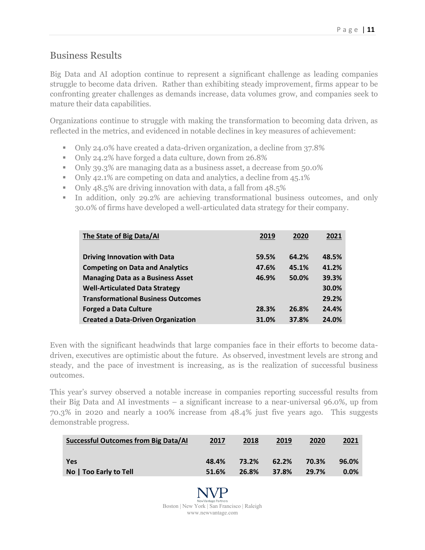## Business Results

Big Data and AI adoption continue to represent a significant challenge as leading companies struggle to become data driven. Rather than exhibiting steady improvement, firms appear to be confronting greater challenges as demands increase, data volumes grow, and companies seek to mature their data capabilities.

Organizations continue to struggle with making the transformation to becoming data driven, as reflected in the metrics, and evidenced in notable declines in key measures of achievement:

- Only 24.0% have created a data-driven organization, a decline from 37.8%
- Only 24.2% have forged a data culture, down from 26.8%
- Only 39.3% are managing data as a business asset, a decrease from 50.0%
- Only 42.1% are competing on data and analytics, a decline from 45.1%
- Only 48.5% are driving innovation with data, a fall from 48.5%
- In addition, only 29.2% are achieving transformational business outcomes, and only 30.0% of firms have developed a well-articulated data strategy for their company.

| The State of Big Data/AI                  | 2019  | 2020  | 2021  |
|-------------------------------------------|-------|-------|-------|
| <b>Driving Innovation with Data</b>       | 59.5% | 64.2% | 48.5% |
| <b>Competing on Data and Analytics</b>    | 47.6% | 45.1% | 41.2% |
| <b>Managing Data as a Business Asset</b>  | 46.9% | 50.0% | 39.3% |
| <b>Well-Articulated Data Strategy</b>     |       |       | 30.0% |
| <b>Transformational Business Outcomes</b> |       |       | 29.2% |
| <b>Forged a Data Culture</b>              | 28.3% | 26.8% | 24.4% |
| <b>Created a Data-Driven Organization</b> | 31.0% | 37.8% | 24.0% |

Even with the significant headwinds that large companies face in their efforts to become datadriven, executives are optimistic about the future. As observed, investment levels are strong and steady, and the pace of investment is increasing, as is the realization of successful business outcomes.

This year's survey observed a notable increase in companies reporting successful results from their Big Data and AI investments – a significant increase to a near-universal 96.0%, up from 70.3% in 2020 and nearly a 100% increase from 48.4% just five years ago. This suggests demonstrable progress.

| Successful Outcomes from Big Data/AI | 2017  | 2018  | 2019  | 2020  | <u>2021</u> |
|--------------------------------------|-------|-------|-------|-------|-------------|
| <b>Yes</b>                           | 48.4% | 73.2% | 62.2% | 70.3% | 96.0%       |
| No   Too Early to Tell               | 51.6% | 26.8% | 37.8% | 29.7% | $0.0\%$     |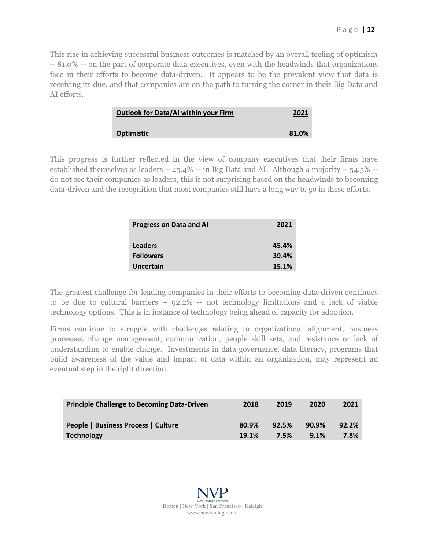This rise in achieving successful business outcomes is matched by an overall feeling of optimism – 81.0% -- on the part of corporate data executives, even with the headwinds that organizations face in their efforts to become data-driven. It appears to be the prevalent view that data is receiving its due, and that companies are on the path to turning the corner in their Big Data and AI efforts.

| <b>Outlook for Data/AI within your Firm</b> | 2021  |
|---------------------------------------------|-------|
| <b>Optimistic</b>                           | 81.0% |

This progress is further reflected in the view of company executives that their firms have established themselves as leaders  $-45.4\%$  -- in Big Data and AI. Although a majority  $-54.5\%$  -do not see their companies as leaders, this is not surprising based on the headwinds to becoming data-driven and the recognition that most companies still have a long way to go in these efforts.

| <b>Progress on Data and AI</b> | 2021  |
|--------------------------------|-------|
| <b>Leaders</b>                 | 45.4% |
| <b>Followers</b>               | 39.4% |
| Uncertain                      | 15.1% |

The greatest challenge for leading companies in their efforts to becoming data-driven continues to be due to cultural barriers – 92.2% -- not technology limitations and a lack of viable technology options. This is in instance of technology being ahead of capacity for adoption.

Firms continue to struggle with challenges relating to organizational alignment, business processes, change management, communication, people skill sets, and resistance or lack of understanding to enable change. Investments in data governance, data literacy, programs that build awareness of the value and impact of data within an organization, may represent an eventual step in the right direction.

| <b>Principle Challenge to Becoming Data-Driven</b> | 2018  | 2019  | 2020  | <u> 2021</u> |
|----------------------------------------------------|-------|-------|-------|--------------|
| People   Business Process   Culture                | 80.9% | 92.5% | 90.9% | 92.2%        |
| <b>Technology</b>                                  | 19.1% | 7.5%  | 9.1%  | 7.8%         |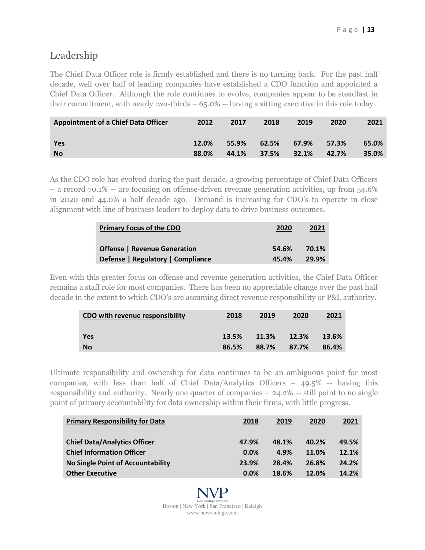# Leadership

The Chief Data Officer role is firmly established and there is no turning back. For the past half decade, well over half of leading companies have established a CDO function and appointed a Chief Data Officer. Although the role continues to evolve, companies appear to be steadfast in their commitment, with nearly two-thirds  $-65.0\%$  -- having a sitting executive in this role today.

| <b>Appointment of a Chief Data Officer</b> | 2012  | 2017  | 2018  | 2019  | 2020  | 2021  |
|--------------------------------------------|-------|-------|-------|-------|-------|-------|
| Yes                                        | 12.0% | 55.9% | 62.5% | 67.9% | 57.3% | 65.0% |
| <b>No</b>                                  | 88.0% | 44.1% | 37.5% | 32.1% | 42.7% | 35.0% |

As the CDO role has evolved during the past decade, a growing percentage of Chief Data Officers – a record 70.1% -- are focusing on offense-driven revenue generation activities, up from 54.6% in 2020 and 44.0% a half decade ago. Demand is increasing for CDO's to operate in close alignment with line of business leaders to deploy data to drive business outcomes.

| <b>Primary Focus of the CDO</b>     | 2020  | 2021  |
|-------------------------------------|-------|-------|
| <b>Offense   Revenue Generation</b> | 54.6% | 70.1% |
| Defense   Regulatory   Compliance   | 45.4% | 29.9% |

Even with this greater focus on offense and revenue generation activities, the Chief Data Officer remains a staff role for most companies. There has been no appreciable change over the past half decade in the extent to which CDO's are assuming direct revenue responsibility or P&L authority.

| CDO with revenue responsibility | 2018  | 2019  | 2020  | <u>2021</u> |
|---------------------------------|-------|-------|-------|-------------|
| Yes                             | 13.5% | 11.3% | 12.3% | 13.6%       |
| <b>No</b>                       | 86.5% | 88.7% | 87.7% | 86.4%       |

Ultimate responsibility and ownership for data continues to be an ambiguous point for most companies, with less than half of Chief Data/Analytics Officers – 49.5% -- having this responsibility and authority. Nearly one quarter of companies – 24.2% -- still point to no single point of primary accountability for data ownership within their firms, with little progress.

| <b>Primary Responsibility for Data</b>   | 2018  | 2019  | 2020  | 2021  |
|------------------------------------------|-------|-------|-------|-------|
| <b>Chief Data/Analytics Officer</b>      | 47.9% | 48.1% | 40.2% | 49.5% |
| <b>Chief Information Officer</b>         | 0.0%  | 4.9%  | 11.0% | 12.1% |
| <b>No Single Point of Accountability</b> | 23.9% | 28.4% | 26.8% | 24.2% |
| <b>Other Executive</b>                   | 0.0%  | 18.6% | 12.0% | 14.2% |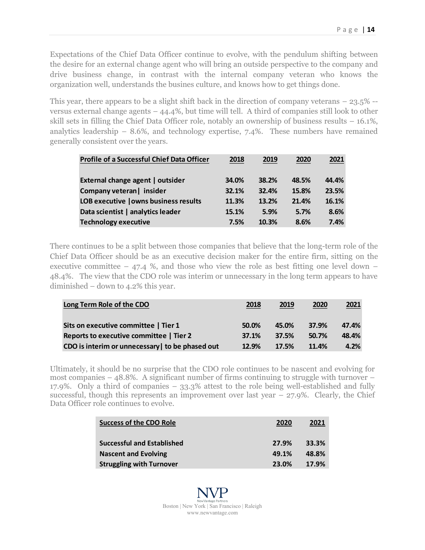Expectations of the Chief Data Officer continue to evolve, with the pendulum shifting between the desire for an external change agent who will bring an outside perspective to the company and drive business change, in contrast with the internal company veteran who knows the organization well, understands the busines culture, and knows how to get things done.

This year, there appears to be a slight shift back in the direction of company veterans  $-23.5\%$  -versus external change agents – 44.4%, but time will tell. A third of companies still look to other skill sets in filling the Chief Data Officer role, notably an ownership of business results – 16.1%, analytics leadership  $-8.6\%$ , and technology expertise, 7.4%. These numbers have remained generally consistent over the years.

| <b>Profile of a Successful Chief Data Officer</b> | 2018  | 2019  | 2020  | 2021  |
|---------------------------------------------------|-------|-------|-------|-------|
| External change agent   outsider                  | 34.0% | 38.2% | 48.5% | 44.4% |
| Company veteran   insider                         | 32.1% | 32.4% | 15.8% | 23.5% |
| LOB executive   owns business results             | 11.3% | 13.2% | 21.4% | 16.1% |
| Data scientist   analytics leader                 | 15.1% | 5.9%  | 5.7%  | 8.6%  |
| <b>Technology executive</b>                       | 7.5%  | 10.3% | 8.6%  | 7.4%  |

There continues to be a split between those companies that believe that the long-term role of the Chief Data Officer should be as an executive decision maker for the entire firm, sitting on the executive committee  $-$  47.4 %, and those who view the role as best fitting one level down  $-$ 48.4%. The view that the CDO role was interim or unnecessary in the long term appears to have diminished – down to 4.2% this year.

| Long Term Role of the CDO                      | 2018  | 2019  | 2020  | 2021  |
|------------------------------------------------|-------|-------|-------|-------|
| Sits on executive committee   Tier 1           | 50.0% | 45.0% | 37.9% | 47.4% |
| Reports to executive committee   Tier 2        | 37.1% | 37.5% | 50.7% | 48.4% |
| CDO is interim or unnecessary to be phased out | 12.9% | 17.5% | 11.4% | 4.2%  |

Ultimately, it should be no surprise that the CDO role continues to be nascent and evolving for most companies – 48.8%. A significant number of firms continuing to struggle with turnover – 17.9%. Only a third of companies – 33.3% attest to the role being well-established and fully successful, though this represents an improvement over last year  $-27.9\%$ . Clearly, the Chief Data Officer role continues to evolve.

| <b>Success of the CDO Role</b>    | 2020  | 2021  |
|-----------------------------------|-------|-------|
| <b>Successful and Established</b> | 27.9% | 33.3% |
| <b>Nascent and Evolving</b>       | 49.1% | 48.8% |
| <b>Struggling with Turnover</b>   | 23.0% | 17.9% |